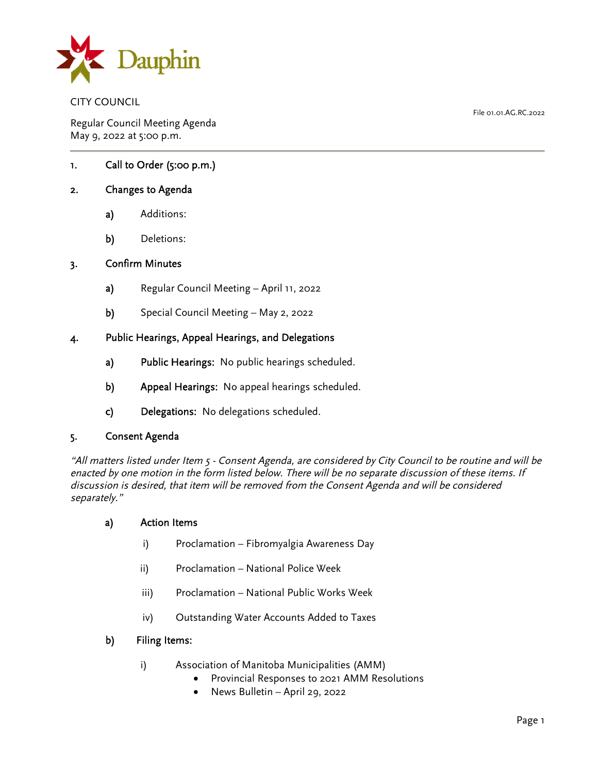

CITY COUNCIL

Regular Council Meeting Agenda May 9, 2022 at 5:00 p.m.

1. Call to Order (5:00 p.m.)

## 2. Changes to Agenda

- a) Additions:
- b) Deletions:

### 3. Confirm Minutes

- a) Regular Council Meeting April 11, 2022
- b) Special Council Meeting May 2, 2022

### 4. Public Hearings, Appeal Hearings, and Delegations

- a) Public Hearings: No public hearings scheduled.
- b) Appeal Hearings: No appeal hearings scheduled.
- c) Delegations: No delegations scheduled.

### 5. Consent Agenda

"All matters listed under Item 5 - Consent Agenda, are considered by City Council to be routine and will be enacted by one motion in the form listed below. There will be no separate discussion of these items. If discussion is desired, that item will be removed from the Consent Agenda and will be considered separately."

### a) Action Items

- i) Proclamation Fibromyalgia Awareness Day
- ii) Proclamation National Police Week
- iii) Proclamation National Public Works Week
- iv) Outstanding Water Accounts Added to Taxes

### b) Filing Items:

- i) Association of Manitoba Municipalities (AMM)
	- Provincial Responses to 2021 AMM Resolutions
	- News Bulletin April 29, 2022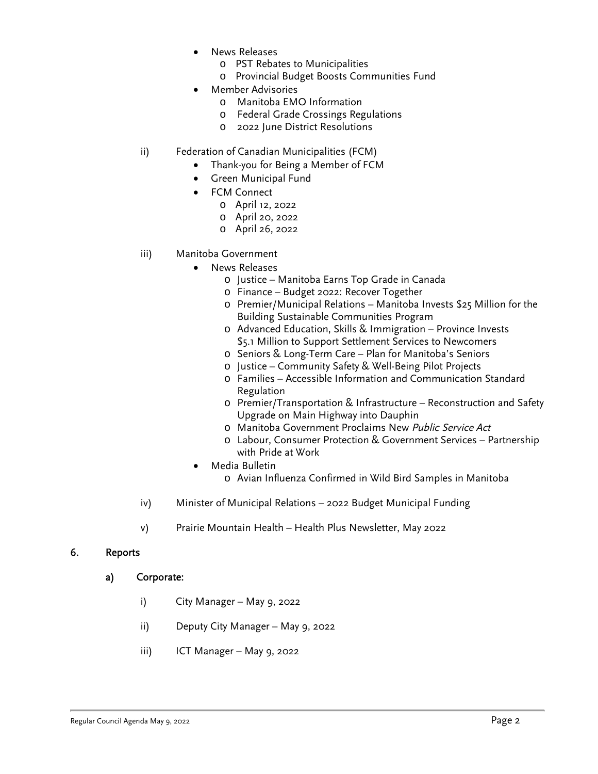- News Releases
	- o PST Rebates to Municipalities
	- o Provincial Budget Boosts Communities Fund
- Member Advisories
	- o Manitoba EMO Information
	- o Federal Grade Crossings Regulations
	- o 2022 June District Resolutions
- ii) Federation of Canadian Municipalities (FCM)
	- Thank-you for Being a Member of FCM
	- Green Municipal Fund
	- FCM Connect
		- o April 12, 2022
			- o April 20, 2022
			- o April 26, 2022
- iii) Manitoba Government
	- News Releases
		- o Justice Manitoba Earns Top Grade in Canada
		- o Finance Budget 2022: Recover Together
		- o Premier/Municipal Relations Manitoba Invests \$25 Million for the Building Sustainable Communities Program
		- o Advanced Education, Skills & Immigration Province Invests \$5.1 Million to Support Settlement Services to Newcomers
		- o Seniors & Long-Term Care Plan for Manitoba's Seniors
		- o Justice Community Safety & Well-Being Pilot Projects
		- o Families Accessible Information and Communication Standard Regulation
		- o Premier/Transportation & Infrastructure Reconstruction and Safety Upgrade on Main Highway into Dauphin
		- o Manitoba Government Proclaims New Public Service Act
		- o Labour, Consumer Protection & Government Services Partnership with Pride at Work
		- Media Bulletin
			- o Avian Influenza Confirmed in Wild Bird Samples in Manitoba
- iv) Minister of Municipal Relations 2022 Budget Municipal Funding
- v) Prairie Mountain Health Health Plus Newsletter, May 2022

### 6. Reports

### a) Corporate:

- i) City Manager May 9, 2022
- ii) Deputy City Manager May 9, 2022
- iii) ICT Manager May 9, 2022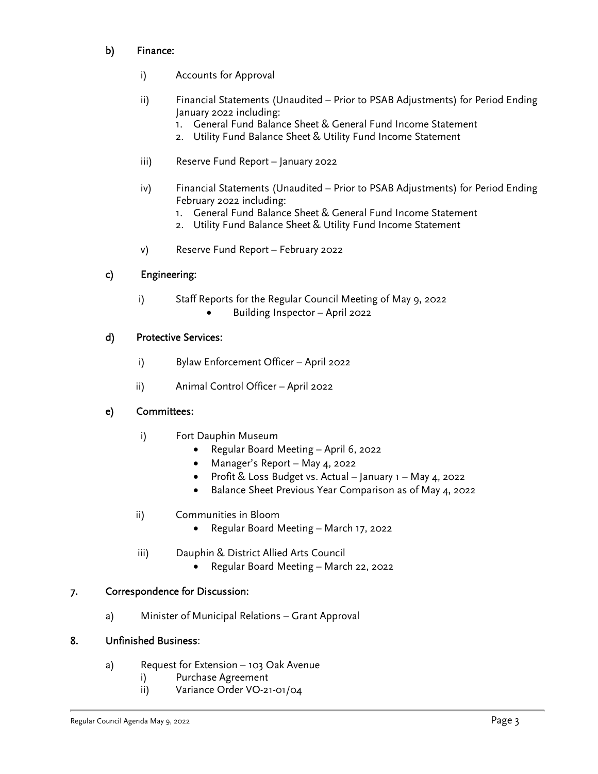# b) Finance:

- i) Accounts for Approval
- ii) Financial Statements (Unaudited Prior to PSAB Adjustments) for Period Ending January 2022 including:
	- 1. General Fund Balance Sheet & General Fund Income Statement
	- 2. Utility Fund Balance Sheet & Utility Fund Income Statement
- iii) Reserve Fund Report January 2022
- iv) Financial Statements (Unaudited Prior to PSAB Adjustments) for Period Ending February 2022 including:
	- 1. General Fund Balance Sheet & General Fund Income Statement
	- 2. Utility Fund Balance Sheet & Utility Fund Income Statement
- v) Reserve Fund Report February 2022

# c) Engineering:

- i) Staff Reports for the Regular Council Meeting of May 9, 2022
	- Building Inspector April 2022

# d) Protective Services:

- i) Bylaw Enforcement Officer April 2022
- ii) Animal Control Officer April 2022

# e) Committees:

- i) Fort Dauphin Museum
	- Regular Board Meeting April 6, 2022
	- Manager's Report May 4, 2022
	- Profit & Loss Budget vs. Actual January 1 May 4, 2022
	- Balance Sheet Previous Year Comparison as of May 4, 2022

# ii) Communities in Bloom

- Regular Board Meeting March 17, 2022
- iii) Dauphin & District Allied Arts Council
	- Regular Board Meeting March 22, 2022

# 7. Correspondence for Discussion:

a) Minister of Municipal Relations – Grant Approval

# 8. Unfinished Business:

- a) Request for Extension 103 Oak Avenue
	- i) Purchase Agreement
	- ii) Variance Order VO-21-01/04